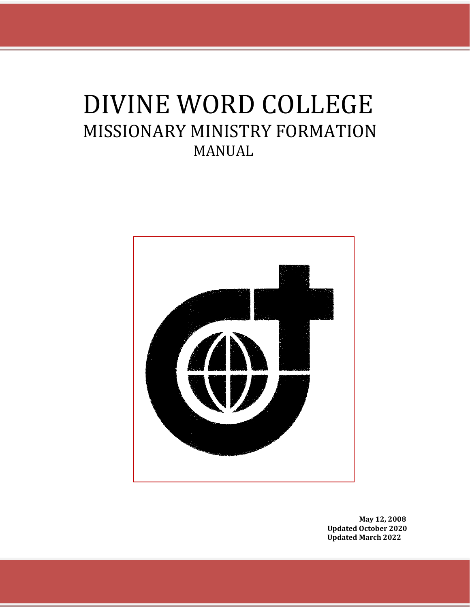# DIVINE WORD COLLEGE MISSIONARY MINISTRY FORMATION MANUAL



**May 12, 2008 Updated October 2020 Updated March 2022**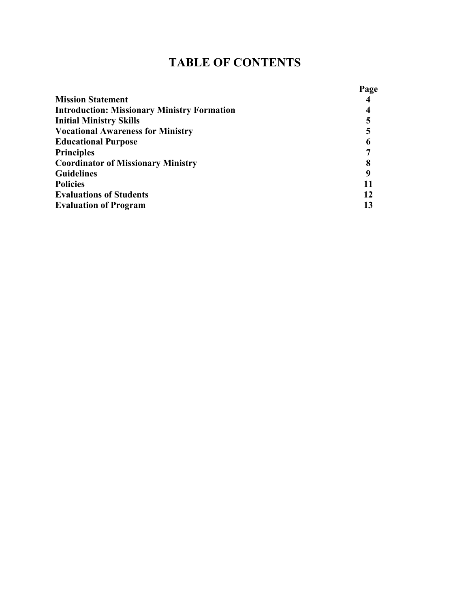## **TABLE OF CONTENTS**

|                                                    | Page |
|----------------------------------------------------|------|
| <b>Mission Statement</b>                           | 4    |
| <b>Introduction: Missionary Ministry Formation</b> | 4    |
| <b>Initial Ministry Skills</b>                     | 5    |
| <b>Vocational Awareness for Ministry</b>           | 5    |
| <b>Educational Purpose</b>                         | 6    |
| <b>Principles</b>                                  |      |
| <b>Coordinator of Missionary Ministry</b>          | 8    |
| <b>Guidelines</b>                                  | q    |
| <b>Policies</b>                                    | 11   |
| <b>Evaluations of Students</b>                     | 12   |
| <b>Evaluation of Program</b>                       | 13   |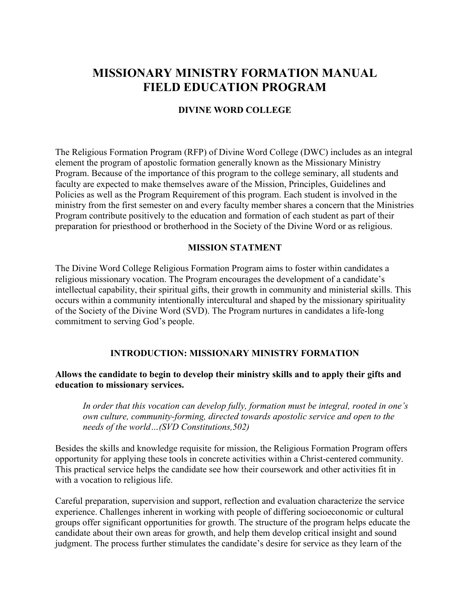### **MISSIONARY MINISTRY FORMATION MANUAL FIELD EDUCATION PROGRAM**

#### **DIVINE WORD COLLEGE**

The Religious Formation Program (RFP) of Divine Word College (DWC) includes as an integral element the program of apostolic formation generally known as the Missionary Ministry Program. Because of the importance of this program to the college seminary, all students and faculty are expected to make themselves aware of the Mission, Principles, Guidelines and Policies as well as the Program Requirement of this program. Each student is involved in the ministry from the first semester on and every faculty member shares a concern that the Ministries Program contribute positively to the education and formation of each student as part of their preparation for priesthood or brotherhood in the Society of the Divine Word or as religious.

#### **MISSION STATMENT**

The Divine Word College Religious Formation Program aims to foster within candidates a religious missionary vocation. The Program encourages the development of a candidate's intellectual capability, their spiritual gifts, their growth in community and ministerial skills. This occurs within a community intentionally intercultural and shaped by the missionary spirituality of the Society of the Divine Word (SVD). The Program nurtures in candidates a life-long commitment to serving God's people.

#### **INTRODUCTION: MISSIONARY MINISTRY FORMATION**

#### **Allows the candidate to begin to develop their ministry skills and to apply their gifts and education to missionary services.**

*In order that this vocation can develop fully, formation must be integral, rooted in one's own culture, community-forming, directed towards apostolic service and open to the needs of the world…(SVD Constitutions,502)*

Besides the skills and knowledge requisite for mission, the Religious Formation Program offers opportunity for applying these tools in concrete activities within a Christ-centered community. This practical service helps the candidate see how their coursework and other activities fit in with a vocation to religious life.

Careful preparation, supervision and support, reflection and evaluation characterize the service experience. Challenges inherent in working with people of differing socioeconomic or cultural groups offer significant opportunities for growth. The structure of the program helps educate the candidate about their own areas for growth, and help them develop critical insight and sound judgment. The process further stimulates the candidate's desire for service as they learn of the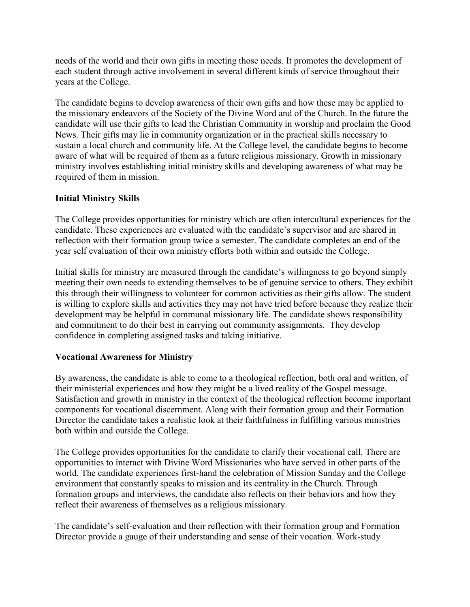needs of the world and their own gifts in meeting those needs. It promotes the development of each student through active involvement in several different kinds of service throughout their years at the College.

The candidate begins to develop awareness of their own gifts and how these may be applied to the missionary endeavors of the Society of the Divine Word and of the Church. In the future the candidate will use their gifts to lead the Christian Community in worship and proclaim the Good News. Their gifts may lie in community organization or in the practical skills necessary to sustain a local church and community life. At the College level, the candidate begins to become aware of what will be required of them as a future religious missionary. Growth in missionary ministry involves establishing initial ministry skills and developing awareness of what may be required of them in mission.

#### **Initial Ministry Skills**

The College provides opportunities for ministry which are often intercultural experiences for the candidate. These experiences are evaluated with the candidate's supervisor and are shared in reflection with their formation group twice a semester. The candidate completes an end of the year self evaluation of their own ministry efforts both within and outside the College.

Initial skills for ministry are measured through the candidate's willingness to go beyond simply meeting their own needs to extending themselves to be of genuine service to others. They exhibit this through their willingness to volunteer for common activities as their gifts allow. The student is willing to explore skills and activities they may not have tried before because they realize their development may be helpful in communal missionary life. The candidate shows responsibility and commitment to do their best in carrying out community assignments. They develop confidence in completing assigned tasks and taking initiative.

#### **Vocational Awareness for Ministry**

By awareness, the candidate is able to come to a theological reflection, both oral and written, of their ministerial experiences and how they might be a lived reality of the Gospel message. Satisfaction and growth in ministry in the context of the theological reflection become important components for vocational discernment. Along with their formation group and their Formation Director the candidate takes a realistic look at their faithfulness in fulfilling various ministries both within and outside the College.

The College provides opportunities for the candidate to clarify their vocational call. There are opportunities to interact with Divine Word Missionaries who have served in other parts of the world. The candidate experiences first-hand the celebration of Mission Sunday and the College environment that constantly speaks to mission and its centrality in the Church. Through formation groups and interviews, the candidate also reflects on their behaviors and how they reflect their awareness of themselves as a religious missionary.

The candidate's self-evaluation and their reflection with their formation group and Formation Director provide a gauge of their understanding and sense of their vocation. Work-study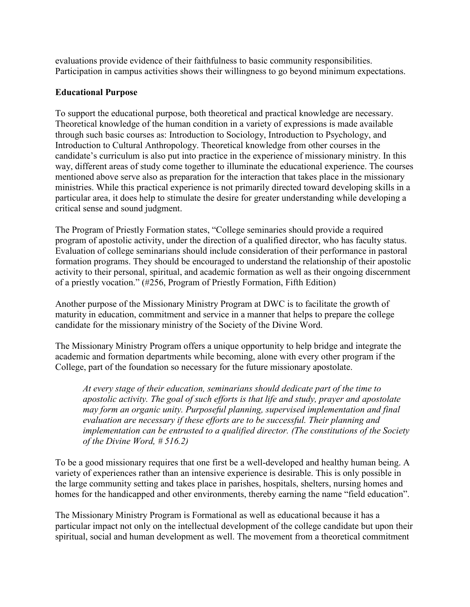evaluations provide evidence of their faithfulness to basic community responsibilities. Participation in campus activities shows their willingness to go beyond minimum expectations.

#### **Educational Purpose**

To support the educational purpose, both theoretical and practical knowledge are necessary. Theoretical knowledge of the human condition in a variety of expressions is made available through such basic courses as: Introduction to Sociology, Introduction to Psychology, and Introduction to Cultural Anthropology. Theoretical knowledge from other courses in the candidate's curriculum is also put into practice in the experience of missionary ministry. In this way, different areas of study come together to illuminate the educational experience. The courses mentioned above serve also as preparation for the interaction that takes place in the missionary ministries. While this practical experience is not primarily directed toward developing skills in a particular area, it does help to stimulate the desire for greater understanding while developing a critical sense and sound judgment.

The Program of Priestly Formation states, "College seminaries should provide a required program of apostolic activity, under the direction of a qualified director, who has faculty status. Evaluation of college seminarians should include consideration of their performance in pastoral formation programs. They should be encouraged to understand the relationship of their apostolic activity to their personal, spiritual, and academic formation as well as their ongoing discernment of a priestly vocation." (#256, Program of Priestly Formation, Fifth Edition)

Another purpose of the Missionary Ministry Program at DWC is to facilitate the growth of maturity in education, commitment and service in a manner that helps to prepare the college candidate for the missionary ministry of the Society of the Divine Word.

The Missionary Ministry Program offers a unique opportunity to help bridge and integrate the academic and formation departments while becoming, alone with every other program if the College, part of the foundation so necessary for the future missionary apostolate.

*At every stage of their education, seminarians should dedicate part of the time to apostolic activity. The goal of such efforts is that life and study, prayer and apostolate may form an organic unity. Purposeful planning, supervised implementation and final evaluation are necessary if these efforts are to be successful. Their planning and implementation can be entrusted to a qualified director. (The constitutions of the Society of the Divine Word, # 516.2)*

To be a good missionary requires that one first be a well-developed and healthy human being. A variety of experiences rather than an intensive experience is desirable. This is only possible in the large community setting and takes place in parishes, hospitals, shelters, nursing homes and homes for the handicapped and other environments, thereby earning the name "field education".

The Missionary Ministry Program is Formational as well as educational because it has a particular impact not only on the intellectual development of the college candidate but upon their spiritual, social and human development as well. The movement from a theoretical commitment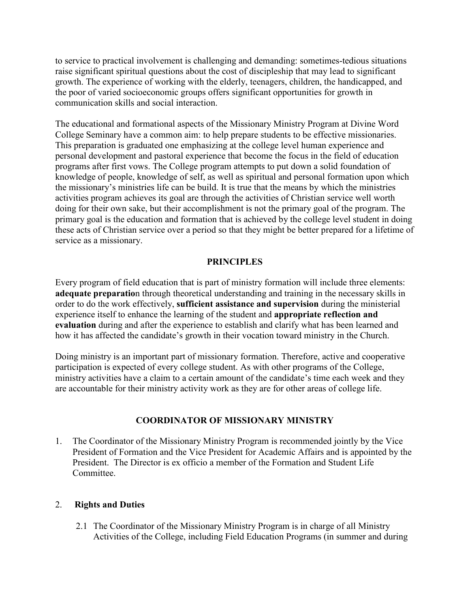to service to practical involvement is challenging and demanding: sometimes-tedious situations raise significant spiritual questions about the cost of discipleship that may lead to significant growth. The experience of working with the elderly, teenagers, children, the handicapped, and the poor of varied socioeconomic groups offers significant opportunities for growth in communication skills and social interaction.

The educational and formational aspects of the Missionary Ministry Program at Divine Word College Seminary have a common aim: to help prepare students to be effective missionaries. This preparation is graduated one emphasizing at the college level human experience and personal development and pastoral experience that become the focus in the field of education programs after first vows. The College program attempts to put down a solid foundation of knowledge of people, knowledge of self, as well as spiritual and personal formation upon which the missionary's ministries life can be build. It is true that the means by which the ministries activities program achieves its goal are through the activities of Christian service well worth doing for their own sake, but their accomplishment is not the primary goal of the program. The primary goal is the education and formation that is achieved by the college level student in doing these acts of Christian service over a period so that they might be better prepared for a lifetime of service as a missionary.

#### **PRINCIPLES**

Every program of field education that is part of ministry formation will include three elements: **adequate preparatio**n through theoretical understanding and training in the necessary skills in order to do the work effectively, **sufficient assistance and supervision** during the ministerial experience itself to enhance the learning of the student and **appropriate reflection and evaluation** during and after the experience to establish and clarify what has been learned and how it has affected the candidate's growth in their vocation toward ministry in the Church.

Doing ministry is an important part of missionary formation. Therefore, active and cooperative participation is expected of every college student. As with other programs of the College, ministry activities have a claim to a certain amount of the candidate's time each week and they are accountable for their ministry activity work as they are for other areas of college life.

#### **COORDINATOR OF MISSIONARY MINISTRY**

1. The Coordinator of the Missionary Ministry Program is recommended jointly by the Vice President of Formation and the Vice President for Academic Affairs and is appointed by the President. The Director is ex officio a member of the Formation and Student Life Committee.

#### 2. **Rights and Duties**

2.1 The Coordinator of the Missionary Ministry Program is in charge of all Ministry Activities of the College, including Field Education Programs (in summer and during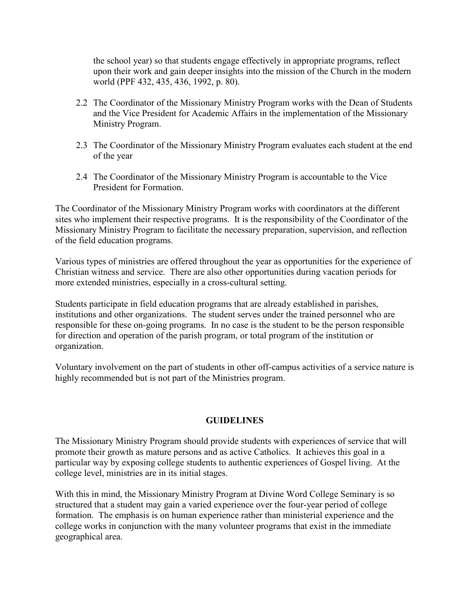the school year) so that students engage effectively in appropriate programs, reflect upon their work and gain deeper insights into the mission of the Church in the modern world (PPF 432, 435, 436, 1992, p. 80).

- 2.2 The Coordinator of the Missionary Ministry Program works with the Dean of Students and the Vice President for Academic Affairs in the implementation of the Missionary Ministry Program.
- 2.3 The Coordinator of the Missionary Ministry Program evaluates each student at the end of the year
- 2.4 The Coordinator of the Missionary Ministry Program is accountable to the Vice President for Formation.

The Coordinator of the Missionary Ministry Program works with coordinators at the different sites who implement their respective programs. It is the responsibility of the Coordinator of the Missionary Ministry Program to facilitate the necessary preparation, supervision, and reflection of the field education programs.

Various types of ministries are offered throughout the year as opportunities for the experience of Christian witness and service. There are also other opportunities during vacation periods for more extended ministries, especially in a cross-cultural setting.

Students participate in field education programs that are already established in parishes, institutions and other organizations. The student serves under the trained personnel who are responsible for these on-going programs. In no case is the student to be the person responsible for direction and operation of the parish program, or total program of the institution or organization.

Voluntary involvement on the part of students in other off-campus activities of a service nature is highly recommended but is not part of the Ministries program.

#### **GUIDELINES**

The Missionary Ministry Program should provide students with experiences of service that will promote their growth as mature persons and as active Catholics. It achieves this goal in a particular way by exposing college students to authentic experiences of Gospel living. At the college level, ministries are in its initial stages.

With this in mind, the Missionary Ministry Program at Divine Word College Seminary is so structured that a student may gain a varied experience over the four-year period of college formation. The emphasis is on human experience rather than ministerial experience and the college works in conjunction with the many volunteer programs that exist in the immediate geographical area.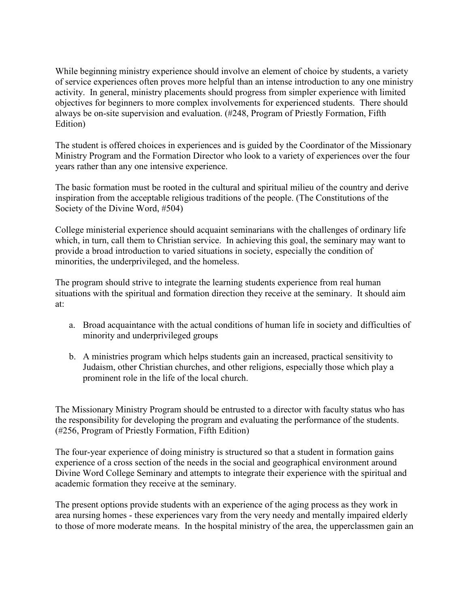While beginning ministry experience should involve an element of choice by students, a variety of service experiences often proves more helpful than an intense introduction to any one ministry activity. In general, ministry placements should progress from simpler experience with limited objectives for beginners to more complex involvements for experienced students. There should always be on-site supervision and evaluation. (#248, Program of Priestly Formation, Fifth Edition)

The student is offered choices in experiences and is guided by the Coordinator of the Missionary Ministry Program and the Formation Director who look to a variety of experiences over the four years rather than any one intensive experience.

The basic formation must be rooted in the cultural and spiritual milieu of the country and derive inspiration from the acceptable religious traditions of the people. (The Constitutions of the Society of the Divine Word, #504)

College ministerial experience should acquaint seminarians with the challenges of ordinary life which, in turn, call them to Christian service. In achieving this goal, the seminary may want to provide a broad introduction to varied situations in society, especially the condition of minorities, the underprivileged, and the homeless.

The program should strive to integrate the learning students experience from real human situations with the spiritual and formation direction they receive at the seminary. It should aim at:

- a. Broad acquaintance with the actual conditions of human life in society and difficulties of minority and underprivileged groups
- b. A ministries program which helps students gain an increased, practical sensitivity to Judaism, other Christian churches, and other religions, especially those which play a prominent role in the life of the local church.

The Missionary Ministry Program should be entrusted to a director with faculty status who has the responsibility for developing the program and evaluating the performance of the students. (#256, Program of Priestly Formation, Fifth Edition)

The four-year experience of doing ministry is structured so that a student in formation gains experience of a cross section of the needs in the social and geographical environment around Divine Word College Seminary and attempts to integrate their experience with the spiritual and academic formation they receive at the seminary.

The present options provide students with an experience of the aging process as they work in area nursing homes - these experiences vary from the very needy and mentally impaired elderly to those of more moderate means. In the hospital ministry of the area, the upperclassmen gain an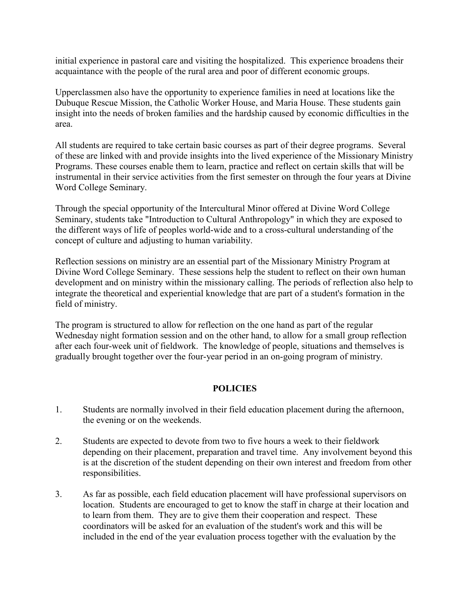initial experience in pastoral care and visiting the hospitalized. This experience broadens their acquaintance with the people of the rural area and poor of different economic groups.

Upperclassmen also have the opportunity to experience families in need at locations like the Dubuque Rescue Mission, the Catholic Worker House, and Maria House. These students gain insight into the needs of broken families and the hardship caused by economic difficulties in the area.

All students are required to take certain basic courses as part of their degree programs. Several of these are linked with and provide insights into the lived experience of the Missionary Ministry Programs. These courses enable them to learn, practice and reflect on certain skills that will be instrumental in their service activities from the first semester on through the four years at Divine Word College Seminary.

Through the special opportunity of the Intercultural Minor offered at Divine Word College Seminary, students take "Introduction to Cultural Anthropology" in which they are exposed to the different ways of life of peoples world-wide and to a cross-cultural understanding of the concept of culture and adjusting to human variability.

Reflection sessions on ministry are an essential part of the Missionary Ministry Program at Divine Word College Seminary. These sessions help the student to reflect on their own human development and on ministry within the missionary calling. The periods of reflection also help to integrate the theoretical and experiential knowledge that are part of a student's formation in the field of ministry.

The program is structured to allow for reflection on the one hand as part of the regular Wednesday night formation session and on the other hand, to allow for a small group reflection after each four-week unit of fieldwork. The knowledge of people, situations and themselves is gradually brought together over the four-year period in an on-going program of ministry.

#### **POLICIES**

- 1. Students are normally involved in their field education placement during the afternoon, the evening or on the weekends.
- 2. Students are expected to devote from two to five hours a week to their fieldwork depending on their placement, preparation and travel time. Any involvement beyond this is at the discretion of the student depending on their own interest and freedom from other responsibilities.
- 3. As far as possible, each field education placement will have professional supervisors on location. Students are encouraged to get to know the staff in charge at their location and to learn from them. They are to give them their cooperation and respect. These coordinators will be asked for an evaluation of the student's work and this will be included in the end of the year evaluation process together with the evaluation by the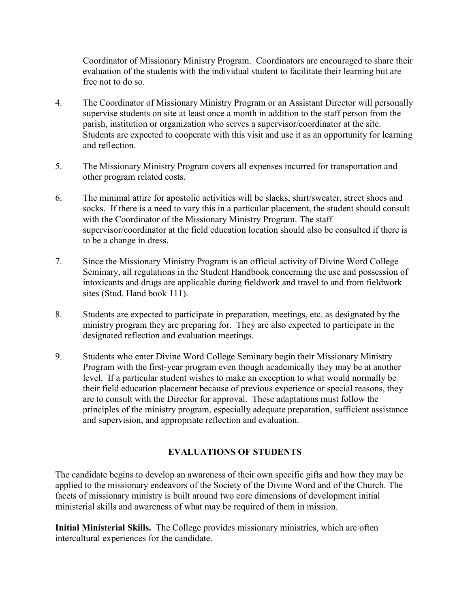Coordinator of Missionary Ministry Program. Coordinators are encouraged to share their evaluation of the students with the individual student to facilitate their learning but are free not to do so.

- 4. The Coordinator of Missionary Ministry Program or an Assistant Director will personally supervise students on site at least once a month in addition to the staff person from the parish, institution or organization who serves a supervisor/coordinator at the site. Students are expected to cooperate with this visit and use it as an opportunity for learning and reflection.
- 5. The Missionary Ministry Program covers all expenses incurred for transportation and other program related costs.
- 6. The minimal attire for apostolic activities will be slacks, shirt/sweater, street shoes and socks. If there is a need to vary this in a particular placement, the student should consult with the Coordinator of the Missionary Ministry Program. The staff supervisor/coordinator at the field education location should also be consulted if there is to be a change in dress.
- 7. Since the Missionary Ministry Program is an official activity of Divine Word College Seminary, all regulations in the Student Handbook concerning the use and possession of intoxicants and drugs are applicable during fieldwork and travel to and from fieldwork sites (Stud. Hand book 111).
- 8. Students are expected to participate in preparation, meetings, etc. as designated by the ministry program they are preparing for. They are also expected to participate in the designated reflection and evaluation meetings.
- 9. Students who enter Divine Word College Seminary begin their Missionary Ministry Program with the first-year program even though academically they may be at another level. If a particular student wishes to make an exception to what would normally be their field education placement because of previous experience or special reasons, they are to consult with the Director for approval. These adaptations must follow the principles of the ministry program, especially adequate preparation, sufficient assistance and supervision, and appropriate reflection and evaluation.

#### **EVALUATIONS OF STUDENTS**

The candidate begins to develop an awareness of their own specific gifts and how they may be applied to the missionary endeavors of the Society of the Divine Word and of the Church. The facets of missionary ministry is built around two core dimensions of development initial ministerial skills and awareness of what may be required of them in mission.

**Initial Ministerial Skills.** The College provides missionary ministries, which are often intercultural experiences for the candidate.